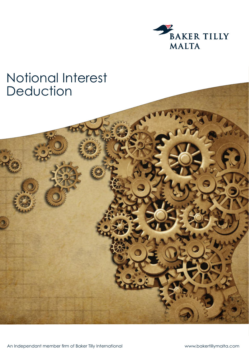

## Notional Interest Deduction

An Independant member firm of Baker Tilly International

www.bakertillymalta.com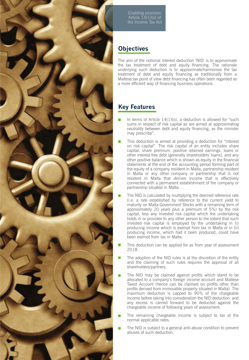

Enabling provision Article  $14(1)(o)$  of the Income Tax Act

## **Objectives**

The aim of the notional interest deduction 'NID' is to approximate the tax treatment of debt and equity financing. The rationale underlying such deduction is to approximate/harmonise the tax treatment of debt and equity financing as traditionally from a Maltese tax point of view debt financing has often been regarded as a more efficient way of financing business operations.

## **Key Features**

- In terms of Article 14(1)(o), a deduction is allowed for "such sums in respect of risk capital as are aimed at approximating neutrality between debt and equity financing, as the minister may prescribe".
- This deduction is aimed at providing a deduction for "interest on risk capital". The risk capital of an entity includes share capital, share premium, positive retained earnings, loans or other interest free debt (generally shareholders' loans), and any other positive balance which is shown as equity in the financial statements at the end of the accounting period forming part of the equity of a company resident in Malta, partnership resident in Malta or any other company or partnership that is not resident in Malta that derives income that is effectively connected with a permanent establishment of the company or partnership situated in Malta.
- The NID is calculated by multiplying the deemed reference rate (i.e. a rate established by reference to the current yield to maturity on Malta Government Stocks with a remaining term of approximately 20 years plus a premium of 5%) by the risk capital, less any invested risk capital which the undertaking holds in or provides to any other person to the extent that such invested risk capital is employed by the undertaking in (i) producing income which is exempt from tax in Malta or in (ii) producing income, which had it been produced, could have been exempt from tax in Malta.
- This deduction can be applied for as from year of assessment 2018.
- The adoption of the NID rules is at the discretion of the entity and the claiming of such rules requires the approval of all shareholders/partners.
- The NID may be claimed against profits which stand to be allocated to a company's foreign income account and Maltese Taxed Account (hence can be claimed on profits other than profits derived from immovable property situated in Malta). The maximum deduction is capped to 90% of the chargeable income before taking into consideration the NID deduction and any excess is carried forward to be deducted against the chargeable income of following years of assessment.
- The remaining chargeable income is subject to tax at the normal applicable rates.
- The NID is subject to a general anti-abuse condition to prevent abuses of such deduction.